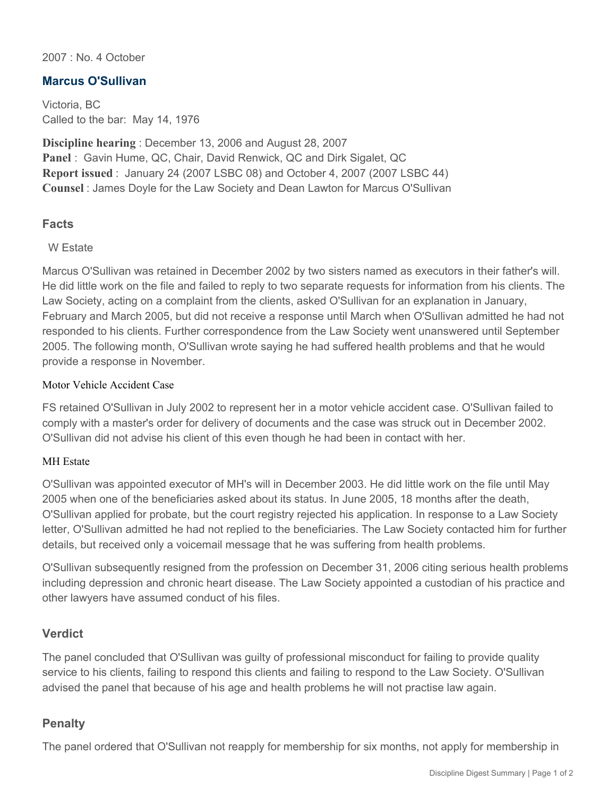2007 : No. 4 October

# **Marcus O'Sullivan**

Victoria, BC Called to the bar: May 14, 1976

**Discipline hearing** : December 13, 2006 and August 28, 2007 **Panel** : Gavin Hume, QC, Chair, David Renwick, QC and Dirk Sigalet, QC **Report issued** : January 24 (2007 LSBC 08) and October 4, 2007 (2007 LSBC 44) **Counsel** : James Doyle for the Law Society and Dean Lawton for Marcus O'Sullivan

# **Facts**

### W Estate

Marcus O'Sullivan was retained in December 2002 by two sisters named as executors in their father's will. He did little work on the file and failed to reply to two separate requests for information from his clients. The Law Society, acting on a complaint from the clients, asked O'Sullivan for an explanation in January, February and March 2005, but did not receive a response until March when O'Sullivan admitted he had not responded to his clients. Further correspondence from the Law Society went unanswered until September 2005. The following month, O'Sullivan wrote saying he had suffered health problems and that he would provide a response in November.

### Motor Vehicle Accident Case

FS retained O'Sullivan in July 2002 to represent her in a motor vehicle accident case. O'Sullivan failed to comply with a master's order for delivery of documents and the case was struck out in December 2002. O'Sullivan did not advise his client of this even though he had been in contact with her.

#### MH Estate

O'Sullivan was appointed executor of MH's will in December 2003. He did little work on the file until May 2005 when one of the beneficiaries asked about its status. In June 2005, 18 months after the death, O'Sullivan applied for probate, but the court registry rejected his application. In response to a Law Society letter, O'Sullivan admitted he had not replied to the beneficiaries. The Law Society contacted him for further details, but received only a voicemail message that he was suffering from health problems.

O'Sullivan subsequently resigned from the profession on December 31, 2006 citing serious health problems including depression and chronic heart disease. The Law Society appointed a custodian of his practice and other lawyers have assumed conduct of his files.

## **Verdict**

The panel concluded that O'Sullivan was guilty of professional misconduct for failing to provide quality service to his clients, failing to respond this clients and failing to respond to the Law Society. O'Sullivan advised the panel that because of his age and health problems he will not practise law again.

## **Penalty**

The panel ordered that O'Sullivan not reapply for membership for six months, not apply for membership in